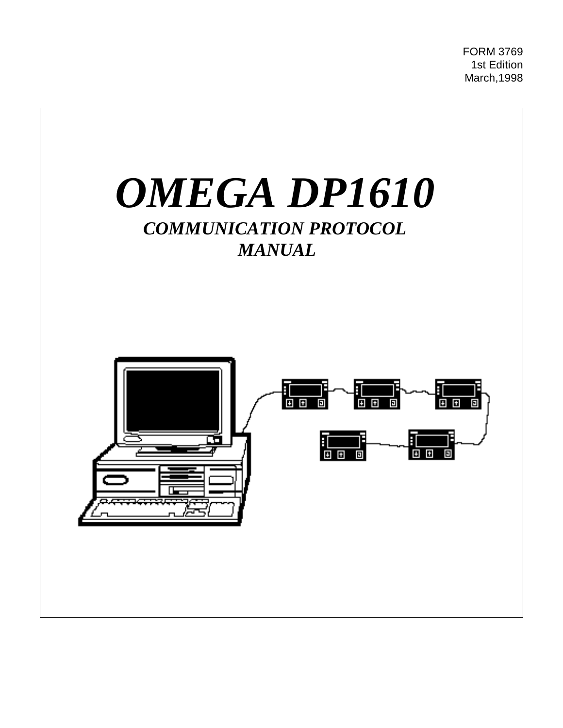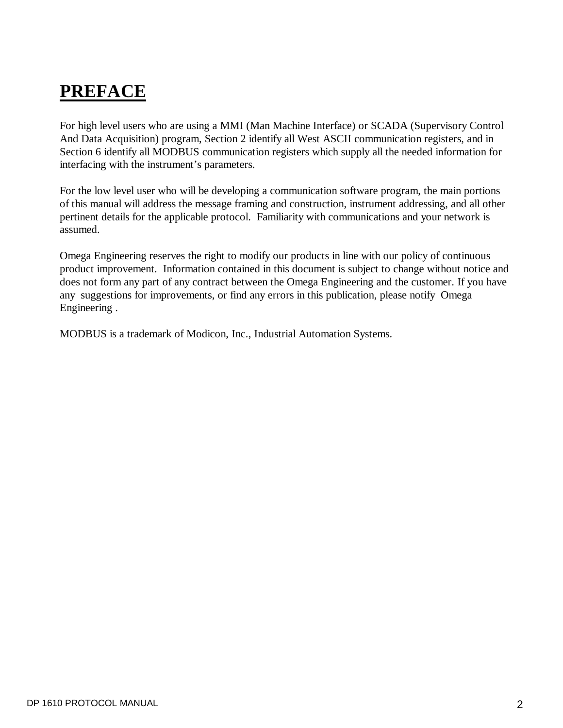# **PREFACE**

For high level users who are using a MMI (Man Machine Interface) or SCADA (Supervisory Control And Data Acquisition) program, Section 2 identify all West ASCII communication registers, and in Section 6 identify all MODBUS communication registers which supply all the needed information for interfacing with the instrument's parameters.

For the low level user who will be developing a communication software program, the main portions of this manual will address the message framing and construction, instrument addressing, and all other pertinent details for the applicable protocol. Familiarity with communications and your network is assumed.

Omega Engineering reserves the right to modify our products in line with our policy of continuous product improvement. Information contained in this document is subject to change without notice and does not form any part of any contract between the Omega Engineering and the customer. If you have any suggestions for improvements, or find any errors in this publication, please notify Omega Engineering .

MODBUS is a trademark of Modicon, Inc., Industrial Automation Systems.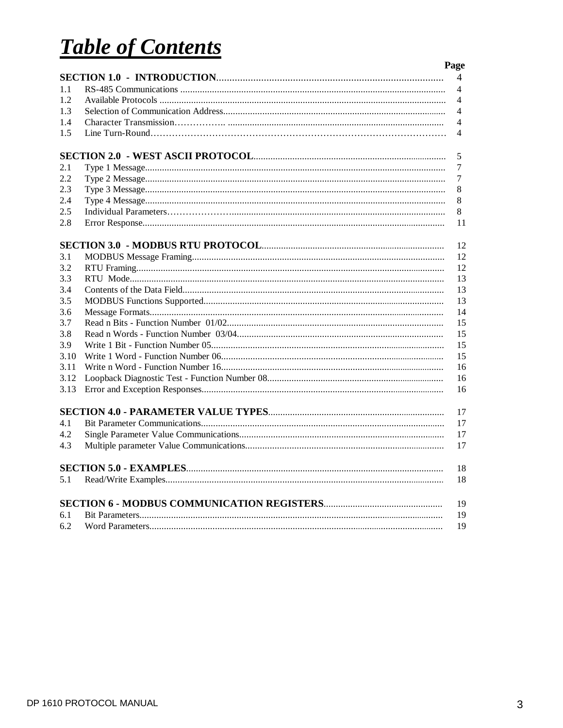# **Table of Contents**

|      | Page           |
|------|----------------|
|      | 4              |
| 1.1  | 4              |
| 1.2  | 4              |
| 1.3  | $\overline{4}$ |
| 1.4  | 4              |
| 1.5  | 4              |
|      | 5              |
| 2.1  | 7              |
| 2.2  | 7              |
| 2.3  | 8              |
| 2.4  | 8              |
| 2.5  | 8              |
| 2.8  | 11             |
|      | 12             |
| 3.1  | 12             |
| 3.2  | 12             |
| 3.3  | 13             |
| 3.4  | 13             |
| 3.5  | 13             |
| 3.6  | 14             |
| 3.7  | 15             |
| 3.8  | 15             |
| 3.9  | 15             |
| 3.10 | 15             |
| 3.11 | 16             |
| 3.12 | 16             |
| 3.13 | 16             |
|      | 17             |
| 4.1  | 17             |
| 4.2  | 17             |
| 4.3  | 17             |
|      | 18             |
| 5.1  | 18             |
|      | 19             |
| 6.1  | 19             |
| 6.2  | 19             |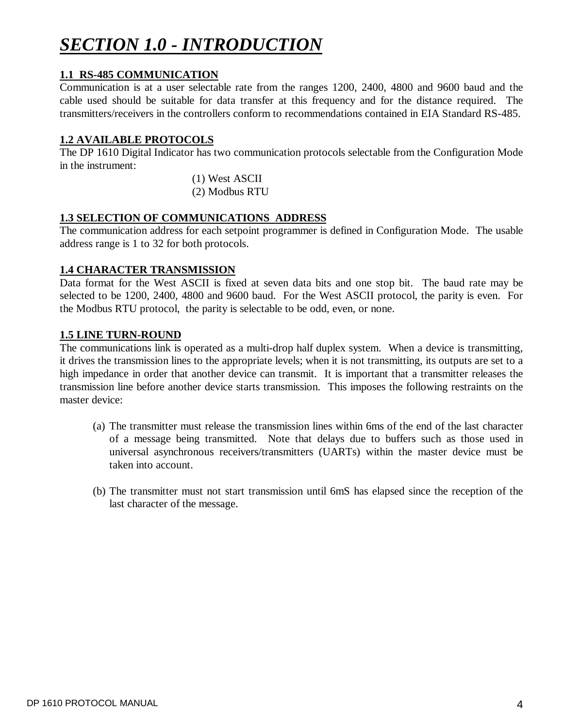# *SECTION 1.0 - INTRODUCTION*

### **1.1 RS-485 COMMUNICATION**

Communication is at a user selectable rate from the ranges 1200, 2400, 4800 and 9600 baud and the cable used should be suitable for data transfer at this frequency and for the distance required. The transmitters/receivers in the controllers conform to recommendations contained in EIA Standard RS-485.

### **1.2 AVAILABLE PROTOCOLS**

The DP 1610 Digital Indicator has two communication protocols selectable from the Configuration Mode in the instrument:

> (1) West ASCII (2) Modbus RTU

### **1.3 SELECTION OF COMMUNICATIONS ADDRESS**

The communication address for each setpoint programmer is defined in Configuration Mode. The usable address range is 1 to 32 for both protocols.

### **1.4 CHARACTER TRANSMISSION**

Data format for the West ASCII is fixed at seven data bits and one stop bit. The baud rate may be selected to be 1200, 2400, 4800 and 9600 baud. For the West ASCII protocol, the parity is even. For the Modbus RTU protocol, the parity is selectable to be odd, even, or none.

### **1.5 LINE TURN-ROUND**

The communications link is operated as a multi-drop half duplex system. When a device is transmitting, it drives the transmission lines to the appropriate levels; when it is not transmitting, its outputs are set to a high impedance in order that another device can transmit. It is important that a transmitter releases the transmission line before another device starts transmission. This imposes the following restraints on the master device:

- (a) The transmitter must release the transmission lines within 6ms of the end of the last character of a message being transmitted. Note that delays due to buffers such as those used in universal asynchronous receivers/transmitters (UARTs) within the master device must be taken into account.
- (b) The transmitter must not start transmission until 6mS has elapsed since the reception of the last character of the message.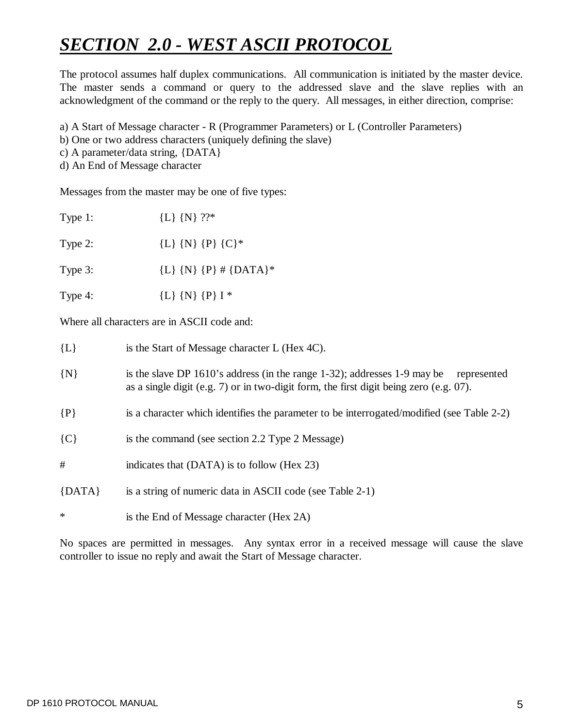# *SECTION 2.0 - WEST ASCII PROTOCOL*

The protocol assumes half duplex communications. All communication is initiated by the master device. The master sends a command or query to the addressed slave and the slave replies with an acknowledgment of the command or the reply to the query. All messages, in either direction, comprise:

a) A Start of Message character - R (Programmer Parameters) or L (Controller Parameters)

- b) One or two address characters (uniquely defining the slave)
- c) A parameter/data string, {DATA}
- d) An End of Message character

Messages from the master may be one of five types:

| Type 1: | ${L}$ {N} ??*             |
|---------|---------------------------|
| Type 2: | ${L}$ {N} {P} {C}*        |
| Type 3: | ${L}$ {N} {P} # {DATA}*   |
| Type 4: | ${L}$ $\{N\}$ $\{P\}$ I * |
|         |                           |

Where all characters are in ASCII code and:

| $\{L\}$    | is the Start of Message character L (Hex 4C).                                                                                                                                        |
|------------|--------------------------------------------------------------------------------------------------------------------------------------------------------------------------------------|
| $\{N\}$    | is the slave DP 1610's address (in the range 1-32); addresses 1-9 may be<br>represented<br>as a single digit (e.g. $7$ ) or in two-digit form, the first digit being zero (e.g. 07). |
| $\{P\}$    | is a character which identifies the parameter to be interrogated/modified (see Table 2-2)                                                                                            |
| ${C}$      | is the command (see section 2.2 Type 2 Message)                                                                                                                                      |
| #          | indicates that (DATA) is to follow (Hex 23)                                                                                                                                          |
| $\{DATA\}$ | is a string of numeric data in ASCII code (see Table 2-1)                                                                                                                            |
| ∗          | is the End of Message character (Hex 2A)                                                                                                                                             |

No spaces are permitted in messages. Any syntax error in a received message will cause the slave controller to issue no reply and await the Start of Message character.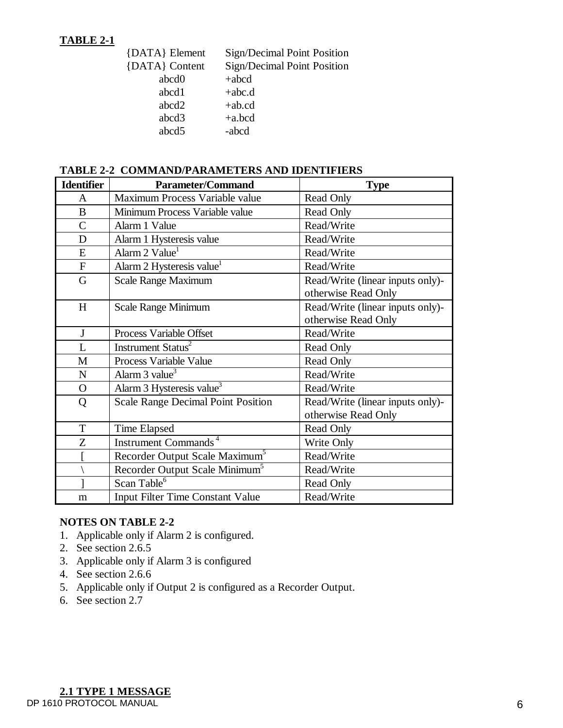# **TABLE 2-1**

| {DATA} Element | Sign/Decimal Point Position |
|----------------|-----------------------------|
| {DATA} Content | Sign/Decimal Point Position |
| abcd0          | $+abcd$                     |
| abcd1          | $+abc.d$                    |
| abcd2          | $+ab.cd$                    |
| abcd3          | $+a,bcd$                    |
| abcd5          | -abcd                       |

# **TABLE 2-2 COMMAND/PARAMETERS AND IDENTIFIERS**

| <b>Identifier</b> | <b>Parameter/Command</b>                   | <b>Type</b>                      |  |
|-------------------|--------------------------------------------|----------------------------------|--|
| A                 | Maximum Process Variable value             | <b>Read Only</b>                 |  |
| $\bf{B}$          | Minimum Process Variable value             | <b>Read Only</b>                 |  |
| $\overline{C}$    | Alarm 1 Value                              | Read/Write                       |  |
| D                 | Alarm 1 Hysteresis value                   | Read/Write                       |  |
| E                 | Alarm 2 Value <sup>1</sup>                 | Read/Write                       |  |
| $\mathbf{F}$      | Alarm 2 Hysteresis value                   | Read/Write                       |  |
| G                 | <b>Scale Range Maximum</b>                 | Read/Write (linear inputs only)- |  |
|                   |                                            | otherwise Read Only              |  |
| H                 | <b>Scale Range Minimum</b>                 | Read/Write (linear inputs only)- |  |
|                   |                                            | otherwise Read Only              |  |
| J                 | Process Variable Offset                    | Read/Write                       |  |
| L                 | Instrument Status <sup>2</sup>             | Read Only                        |  |
| M                 | Process Variable Value                     | Read Only                        |  |
| $\mathbf N$       | Alarm $3$ value <sup>3</sup>               | Read/Write                       |  |
| $\overline{O}$    | Alarm 3 Hysteresis value <sup>3</sup>      | Read/Write                       |  |
| Q                 | <b>Scale Range Decimal Point Position</b>  | Read/Write (linear inputs only)- |  |
|                   |                                            | otherwise Read Only              |  |
| T                 | Time Elapsed                               | <b>Read Only</b>                 |  |
| Z                 | Instrument Commands <sup>4</sup>           | Write Only                       |  |
|                   | Recorder Output Scale Maximum <sup>5</sup> | Read/Write                       |  |
|                   | Recorder Output Scale Minimum <sup>5</sup> | Read/Write                       |  |
|                   | Scan Table <sup>6</sup>                    | Read Only                        |  |
| m                 | <b>Input Filter Time Constant Value</b>    | Read/Write                       |  |

### **NOTES ON TABLE 2-2**

- 1. Applicable only if Alarm 2 is configured.
- 2. See section 2.6.5
- 3. Applicable only if Alarm 3 is configured
- 4. See section 2.6.6
- 5. Applicable only if Output 2 is configured as a Recorder Output.
- 6. See section 2.7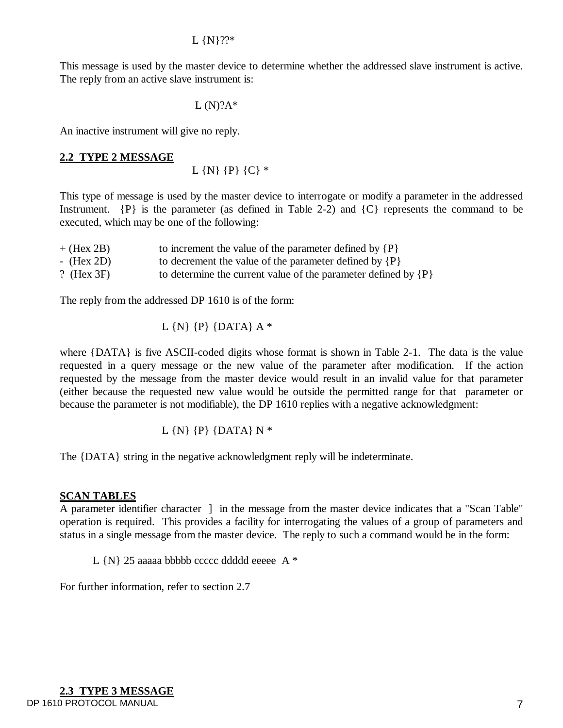This message is used by the master device to determine whether the addressed slave instrument is active. The reply from an active slave instrument is:

```
L(N)?A*
```
An inactive instrument will give no reply.

### **2.2 TYPE 2 MESSAGE**

 $L \{N\} \{P\} \{C\}$ \*

This type of message is used by the master device to interrogate or modify a parameter in the addressed Instrument.  $\{P\}$  is the parameter (as defined in Table 2-2) and  $\{C\}$  represents the command to be executed, which may be one of the following:

| $+$ (Hex 2B)  | to increment the value of the parameter defined by $\{P\}$         |
|---------------|--------------------------------------------------------------------|
| $-$ (Hex 2D)  | to decrement the value of the parameter defined by $\{P\}$         |
| ? (Hex $3F$ ) | to determine the current value of the parameter defined by $\{P\}$ |

The reply from the addressed DP 1610 is of the form:

L  $\{N\}$   $\{P\}$   $\{DATA\}$   $A^*$ 

where {DATA} is five ASCII-coded digits whose format is shown in Table 2-1. The data is the value requested in a query message or the new value of the parameter after modification. If the action requested by the message from the master device would result in an invalid value for that parameter (either because the requested new value would be outside the permitted range for that parameter or because the parameter is not modifiable), the DP 1610 replies with a negative acknowledgment:

L  $\{N\}$   $\{P\}$   $\{DATA\}$  N  $*$ 

The {DATA} string in the negative acknowledgment reply will be indeterminate.

## **SCAN TABLES**

A parameter identifier character ] in the message from the master device indicates that a "Scan Table" operation is required. This provides a facility for interrogating the values of a group of parameters and status in a single message from the master device. The reply to such a command would be in the form:

L {N} 25 aaaaa bbbbb ccccc ddddd eeeee A \*

For further information, refer to section 2.7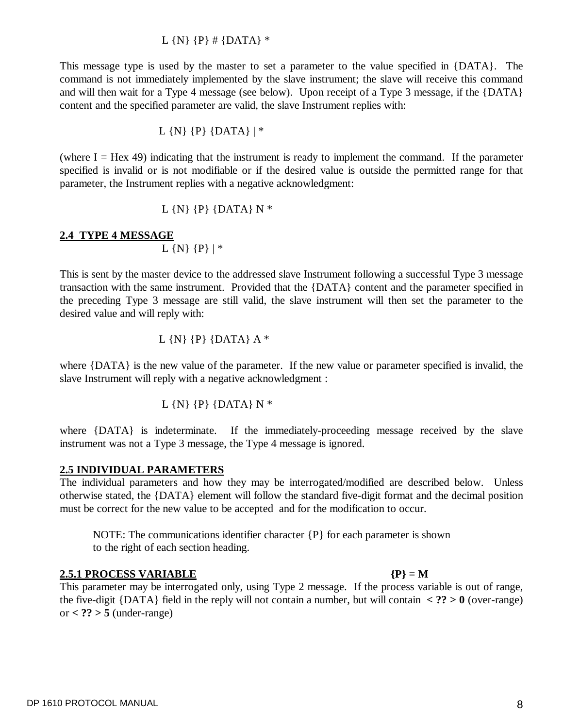# or **< ?? > 5** (under-range)

# to the right of each section heading.

otherwise stated, the {DATA} element will follow the standard five-digit format and the decimal position must be correct for the new value to be accepted and for the modification to occur.

the five-digit  $\{DATA\}$  field in the reply will not contain a number, but will contain  $\langle ? \rangle > 0$  (over-range)

NOTE: The communications identifier character {P} for each parameter is shown

# **2.5 INDIVIDUAL PARAMETERS**

**2.4 TYPE 4 MESSAGE**

The individual parameters and how they may be interrogated/modified are described below. Unless

parameter, the Instrument replies with a negative acknowledgment: L  $\{N\}$   $\{P\}$   $\{DATA\}$  N  $*$ 

specified is invalid or is not modifiable or if the desired value is outside the permitted range for that

This message type is used by the master to set a parameter to the value specified in {DATA}. The command is not immediately implemented by the slave instrument; the slave will receive this command and will then wait for a Type 4 message (see below). Upon receipt of a Type 3 message, if the {DATA}

# (where  $I =$  Hex 49) indicating that the instrument is ready to implement the command. If the parameter

 $\overline{L}$  {N} {P} | \*

L  $\{N\}$   $\{P\}$   $\{DATA\}$  | \*

# L  $\{N\}$   $\{P\}$  #  $\{DATA\}$  \*

content and the specified parameter are valid, the slave Instrument replies with:

# This parameter may be interrogated only, using Type 2 message. If the process variable is out of range,

This is sent by the master device to the addressed slave Instrument following a successful Type 3 message transaction with the same instrument. Provided that the {DATA} content and the parameter specified in the preceding Type 3 message are still valid, the slave instrument will then set the parameter to the desired value and will reply with:

$$
L\{N\}\{P\}\{DATA\}A^*
$$

where {DATA} is the new value of the parameter. If the new value or parameter specified is invalid, the slave Instrument will reply with a negative acknowledgment :

where {DATA} is indeterminate. If the immediately-proceeding message received by the slave

# L  $\{N\}$   $\{P\}$   $\{DATA\}$  N  $*$

instrument was not a Type 3 message, the Type 4 message is ignored.

**2.5.1 PROCESS VARIABLE {P} = M**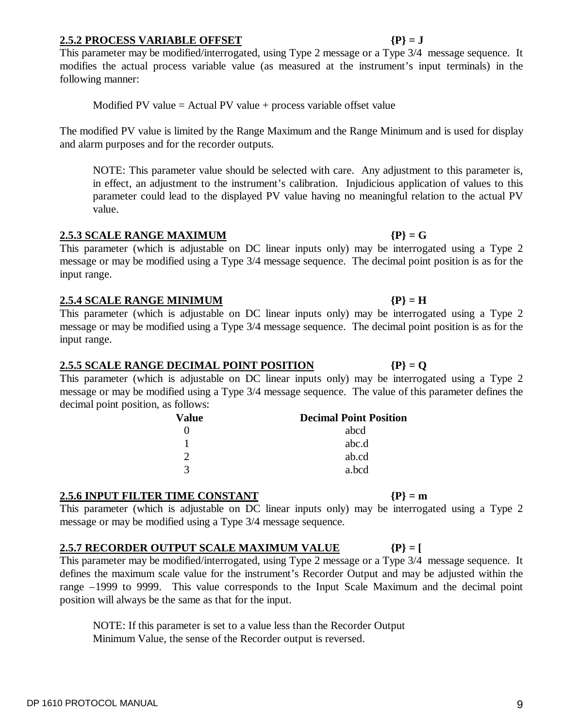### DP 1610 PROTOCOL MANUAL 9

# **2.5.2 PROCESS VARIABLE OFFSET {P} = J**

This parameter may be modified/interrogated, using Type 2 message or a Type 3/4 message sequence. It modifies the actual process variable value (as measured at the instrument's input terminals) in the following manner:

Modified PV value = Actual PV value + process variable offset value

The modified PV value is limited by the Range Maximum and the Range Minimum and is used for display and alarm purposes and for the recorder outputs.

NOTE: This parameter value should be selected with care. Any adjustment to this parameter is, in effect, an adjustment to the instrument's calibration. Injudicious application of values to this parameter could lead to the displayed PV value having no meaningful relation to the actual PV value.

### **2.5.3 SCALE RANGE MAXIMUM {P} = G**

This parameter (which is adjustable on DC linear inputs only) may be interrogated using a Type 2 message or may be modified using a Type 3/4 message sequence. The decimal point position is as for the input range.

### **2.5.4 SCALE RANGE MINIMUM {P} = H**

This parameter (which is adjustable on DC linear inputs only) may be interrogated using a Type 2 message or may be modified using a Type 3/4 message sequence. The decimal point position is as for the input range.

## **2.5.5 SCALE RANGE DECIMAL POINT POSITION {P} = Q**

This parameter (which is adjustable on DC linear inputs only) may be interrogated using a Type 2 message or may be modified using a Type 3/4 message sequence. The value of this parameter defines the decimal point position, as follows:

| Value | <b>Decimal Point Position</b> |
|-------|-------------------------------|
|       | abcd                          |
|       | abc.d                         |
| ∍     | ab.cd                         |
| 3     | a.bcd                         |

## **2.5.6 INPUT FILTER TIME CONSTANT {P} = m**

This parameter (which is adjustable on DC linear inputs only) may be interrogated using a Type 2 message or may be modified using a Type 3/4 message sequence.

# **2.5.7 RECORDER OUTPUT SCALE MAXIMUM VALUE {P} = [**

This parameter may be modified/interrogated, using Type 2 message or a Type 3/4 message sequence. It defines the maximum scale value for the instrument's Recorder Output and may be adjusted within the range –1999 to 9999. This value corresponds to the Input Scale Maximum and the decimal point position will always be the same as that for the input.

NOTE: If this parameter is set to a value less than the Recorder Output Minimum Value, the sense of the Recorder output is reversed.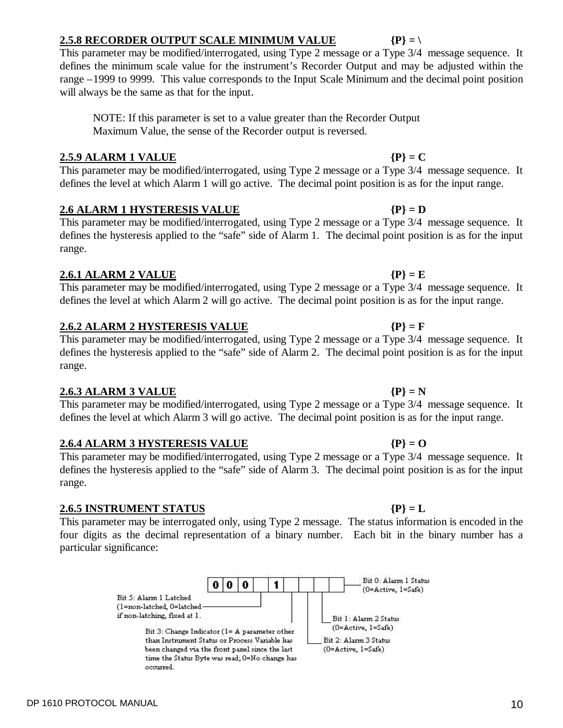# **2.5.8 RECORDER OUTPUT SCALE MINIMUM VALUE {P} = \**

This parameter may be modified/interrogated, using Type 2 message or a Type 3/4 message sequence. It defines the minimum scale value for the instrument's Recorder Output and may be adjusted within the range –1999 to 9999. This value corresponds to the Input Scale Minimum and the decimal point position will always be the same as that for the input.

NOTE: If this parameter is set to a value greater than the Recorder Output Maximum Value, the sense of the Recorder output is reversed.

# **2.5.9 ALARM 1 VALUE {P} = C**

This parameter may be modified/interrogated, using Type 2 message or a Type 3/4 message sequence. It defines the level at which Alarm 1 will go active. The decimal point position is as for the input range.

# **2.6 ALARM 1 HYSTERESIS VALUE {P} = D**

# This parameter may be modified/interrogated, using Type 2 message or a Type 3/4 message sequence. It defines the hysteresis applied to the "safe" side of Alarm 1. The decimal point position is as for the input range.

# **2.6.1 ALARM 2 VALUE {P} = E**

# This parameter may be modified/interrogated, using Type 2 message or a Type 3/4 message sequence. It defines the level at which Alarm 2 will go active. The decimal point position is as for the input range.

# **2.6.2 ALARM 2 HYSTERESIS VALUE {P} = F**

This parameter may be modified/interrogated, using Type 2 message or a Type 3/4 message sequence. It defines the hysteresis applied to the "safe" side of Alarm 2. The decimal point position is as for the input range.

# **2.6.3 ALARM 3 VALUE {P} = N**

This parameter may be modified/interrogated, using Type 2 message or a Type 3/4 message sequence. It defines the level at which Alarm 3 will go active. The decimal point position is as for the input range.

# **2.6.4 ALARM 3 HYSTERESIS VALUE {P} = O**

This parameter may be modified/interrogated, using Type 2 message or a Type 3/4 message sequence. It defines the hysteresis applied to the "safe" side of Alarm 3. The decimal point position is as for the input range.

# **2.6.5 INSTRUMENT STATUS {P} = L**

This parameter may be interrogated only, using Type 2 message. The status information is encoded in the four digits as the decimal representation of a binary number. Each bit in the binary number has a particular significance:

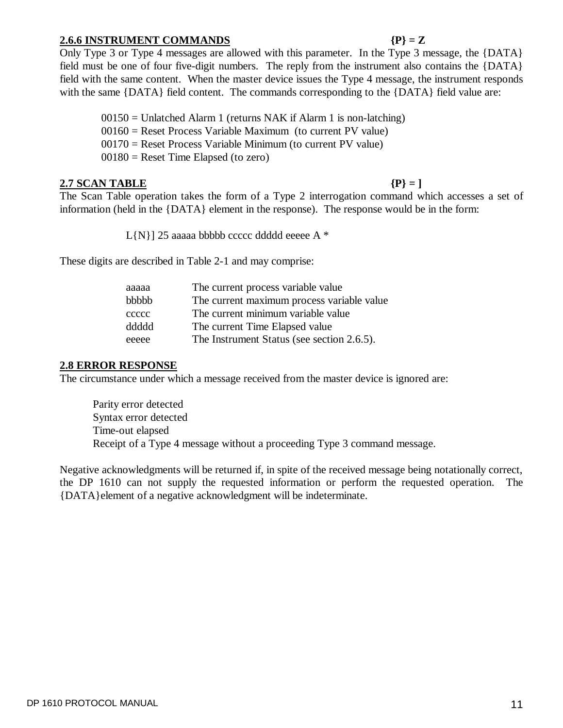# **2.6.6 INSTRUMENT COMMANDS {P} = Z**

## Only Type 3 or Type 4 messages are allowed with this parameter. In the Type 3 message, the {DATA} field must be one of four five-digit numbers. The reply from the instrument also contains the {DATA} field with the same content. When the master device issues the Type 4 message, the instrument responds with the same {DATA} field content. The commands corresponding to the {DATA} field value are:

 $00150 =$  Unlatched Alarm 1 (returns NAK if Alarm 1 is non-latching)  $00160$  = Reset Process Variable Maximum (to current PV value) 00170 = Reset Process Variable Minimum (to current PV value)  $00180$  = Reset Time Elapsed (to zero)

### **2.7 SCAN TABLE {P} = ]**

The Scan Table operation takes the form of a Type 2 interrogation command which accesses a set of information (held in the {DATA} element in the response). The response would be in the form:

 $L{N}$ ] 25 aaaaa bbbbb ccccc ddddd eeeee A  $*$ 

These digits are described in Table 2-1 and may comprise:

| aaaaa | The current process variable value         |
|-------|--------------------------------------------|
| bbbbb | The current maximum process variable value |
| ccccc | The current minimum variable value         |
| ddddd | The current Time Elapsed value             |
| eeeee | The Instrument Status (see section 2.6.5). |

### **2.8 ERROR RESPONSE**

The circumstance under which a message received from the master device is ignored are:

Parity error detected Syntax error detected Time-out elapsed Receipt of a Type 4 message without a proceeding Type 3 command message.

Negative acknowledgments will be returned if, in spite of the received message being notationally correct, the DP 1610 can not supply the requested information or perform the requested operation. The {DATA}element of a negative acknowledgment will be indeterminate.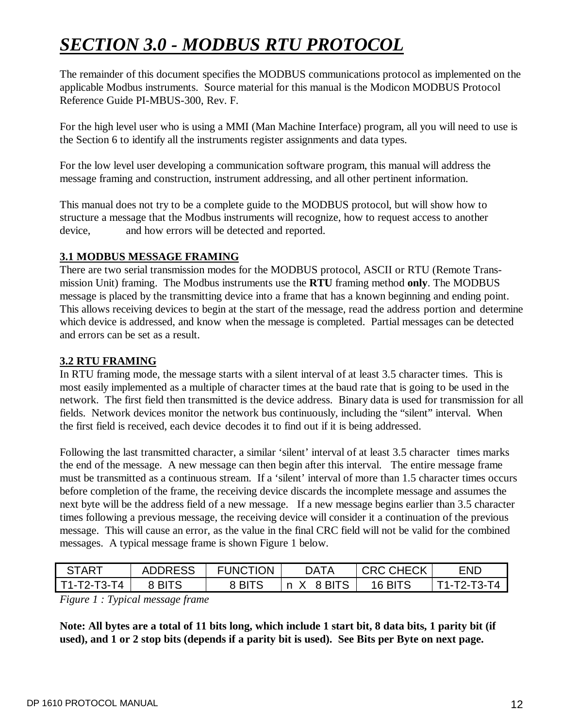# *SECTION 3.0 - MODBUS RTU PROTOCOL*

The remainder of this document specifies the MODBUS communications protocol as implemented on the applicable Modbus instruments. Source material for this manual is the Modicon MODBUS Protocol Reference Guide PI-MBUS-300, Rev. F.

For the high level user who is using a MMI (Man Machine Interface) program, all you will need to use is the Section 6 to identify all the instruments register assignments and data types.

For the low level user developing a communication software program, this manual will address the message framing and construction, instrument addressing, and all other pertinent information.

This manual does not try to be a complete guide to the MODBUS protocol, but will show how to structure a message that the Modbus instruments will recognize, how to request access to another device, and how errors will be detected and reported.

# **3.1 MODBUS MESSAGE FRAMING**

There are two serial transmission modes for the MODBUS protocol, ASCII or RTU (Remote Transmission Unit) framing. The Modbus instruments use the **RTU** framing method **only**. The MODBUS message is placed by the transmitting device into a frame that has a known beginning and ending point. This allows receiving devices to begin at the start of the message, read the address portion and determine which device is addressed, and know when the message is completed. Partial messages can be detected and errors can be set as a result.

# **3.2 RTU FRAMING**

In RTU framing mode, the message starts with a silent interval of at least 3.5 character times. This is most easily implemented as a multiple of character times at the baud rate that is going to be used in the network. The first field then transmitted is the device address. Binary data is used for transmission for all fields. Network devices monitor the network bus continuously, including the "silent" interval. When the first field is received, each device decodes it to find out if it is being addressed.

Following the last transmitted character, a similar 'silent' interval of at least 3.5 character times marks the end of the message. A new message can then begin after this interval. The entire message frame must be transmitted as a continuous stream. If a 'silent' interval of more than 1.5 character times occurs before completion of the frame, the receiving device discards the incomplete message and assumes the next byte will be the address field of a new message. If a new message begins earlier than 3.5 character times following a previous message, the receiving device will consider it a continuation of the previous message. This will cause an error, as the value in the final CRC field will not be valid for the combined messages. A typical message frame is shown Figure 1 below.

| <b>START</b>  | <b>ADDRESS</b> | <b>FUNCTION</b> | <b>DATA</b> | <b>CRC CHECK</b> | END         |
|---------------|----------------|-----------------|-------------|------------------|-------------|
| $T1-T2-T3-T4$ | 8 BITS         | 8 BITS          | 8 BITS<br>n | 16 BITS          | T1-T2-T3-T4 |

*Figure 1 : Typical message frame*

**Note: All bytes are a total of 11 bits long, which include 1 start bit, 8 data bits, 1 parity bit (if used), and 1 or 2 stop bits (depends if a parity bit is used). See Bits per Byte on next page.**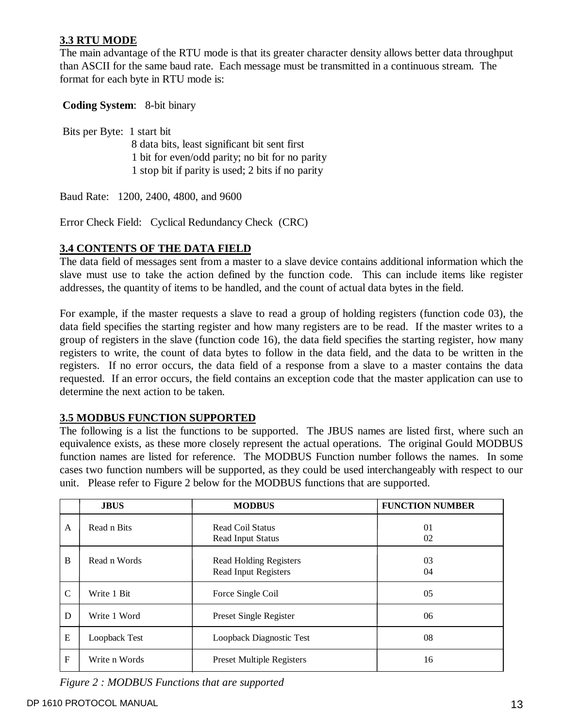## **3.3 RTU MODE**

The main advantage of the RTU mode is that its greater character density allows better data throughput than ASCII for the same baud rate. Each message must be transmitted in a continuous stream. The format for each byte in RTU mode is:

**Coding System**: 8-bit binary

 Bits per Byte: 1 start bit 8 data bits, least significant bit sent first 1 bit for even/odd parity; no bit for no parity 1 stop bit if parity is used; 2 bits if no parity

Baud Rate:1200, 2400, 4800, and 9600

Error Check Field: Cyclical Redundancy Check (CRC)

### **3.4 CONTENTS OF THE DATA FIELD**

The data field of messages sent from a master to a slave device contains additional information which the slave must use to take the action defined by the function code. This can include items like register addresses, the quantity of items to be handled, and the count of actual data bytes in the field.

For example, if the master requests a slave to read a group of holding registers (function code 03), the data field specifies the starting register and how many registers are to be read. If the master writes to a group of registers in the slave (function code 16), the data field specifies the starting register, how many registers to write, the count of data bytes to follow in the data field, and the data to be written in the registers. If no error occurs, the data field of a response from a slave to a master contains the data requested. If an error occurs, the field contains an exception code that the master application can use to determine the next action to be taken.

### **3.5 MODBUS FUNCTION SUPPORTED**

The following is a list the functions to be supported. The JBUS names are listed first, where such an equivalence exists, as these more closely represent the actual operations. The original Gould MODBUS function names are listed for reference. The MODBUS Function number follows the names. In some cases two function numbers will be supported, as they could be used interchangeably with respect to our unit. Please refer to Figure 2 below for the MODBUS functions that are supported.

|              | <b>JBUS</b>   | <b>MODBUS</b>                                         | <b>FUNCTION NUMBER</b> |
|--------------|---------------|-------------------------------------------------------|------------------------|
| A            | Read n Bits   | <b>Read Coil Status</b><br><b>Read Input Status</b>   | 01<br>02               |
| B            | Read n Words  | <b>Read Holding Registers</b><br>Read Input Registers | 03<br>04               |
| $\mathsf{C}$ | Write 1 Bit   | Force Single Coil                                     | 05                     |
| D            | Write 1 Word  | <b>Preset Single Register</b>                         | 06                     |
| E            | Loopback Test | Loopback Diagnostic Test                              | 08                     |
| $\mathbf F$  | Write n Words | <b>Preset Multiple Registers</b>                      | 16                     |

*Figure 2 : MODBUS Functions that are supported*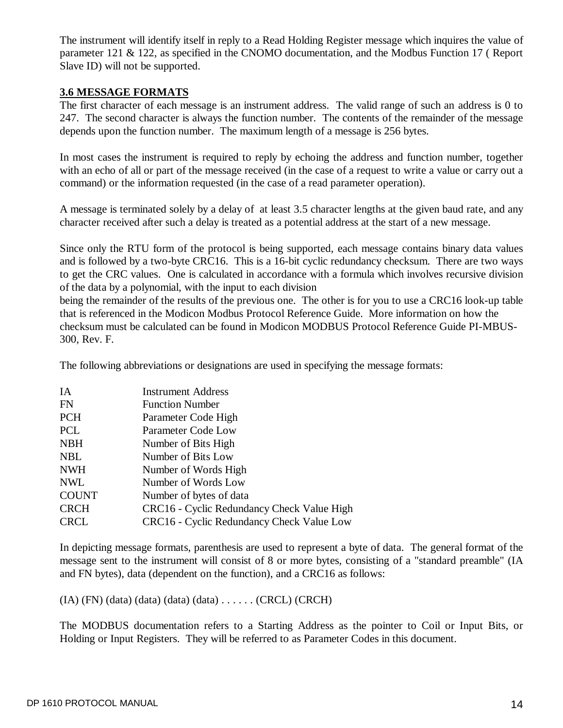The instrument will identify itself in reply to a Read Holding Register message which inquires the value of parameter 121 & 122, as specified in the CNOMO documentation, and the Modbus Function 17 ( Report Slave ID) will not be supported.

### **3.6 MESSAGE FORMATS**

The first character of each message is an instrument address. The valid range of such an address is 0 to 247. The second character is always the function number. The contents of the remainder of the message depends upon the function number. The maximum length of a message is 256 bytes.

In most cases the instrument is required to reply by echoing the address and function number, together with an echo of all or part of the message received (in the case of a request to write a value or carry out a command) or the information requested (in the case of a read parameter operation).

A message is terminated solely by a delay of at least 3.5 character lengths at the given baud rate, and any character received after such a delay is treated as a potential address at the start of a new message.

Since only the RTU form of the protocol is being supported, each message contains binary data values and is followed by a two-byte CRC16. This is a 16-bit cyclic redundancy checksum. There are two ways to get the CRC values. One is calculated in accordance with a formula which involves recursive division of the data by a polynomial, with the input to each division

being the remainder of the results of the previous one. The other is for you to use a CRC16 look-up table that is referenced in the Modicon Modbus Protocol Reference Guide. More information on how the checksum must be calculated can be found in Modicon MODBUS Protocol Reference Guide PI-MBUS-300, Rev. F.

The following abbreviations or designations are used in specifying the message formats:

| <b>Instrument Address</b>                  |
|--------------------------------------------|
| <b>Function Number</b>                     |
| Parameter Code High                        |
| Parameter Code Low                         |
| Number of Bits High                        |
| Number of Bits Low                         |
| Number of Words High                       |
| Number of Words Low                        |
| Number of bytes of data                    |
| CRC16 - Cyclic Redundancy Check Value High |
| CRC16 - Cyclic Redundancy Check Value Low  |
|                                            |

In depicting message formats, parenthesis are used to represent a byte of data. The general format of the message sent to the instrument will consist of 8 or more bytes, consisting of a "standard preamble" (IA and FN bytes), data (dependent on the function), and a CRC16 as follows:

(IA) (FN) (data) (data) (data) (data) . . . . . . (CRCL) (CRCH)

The MODBUS documentation refers to a Starting Address as the pointer to Coil or Input Bits, or Holding or Input Registers. They will be referred to as Parameter Codes in this document.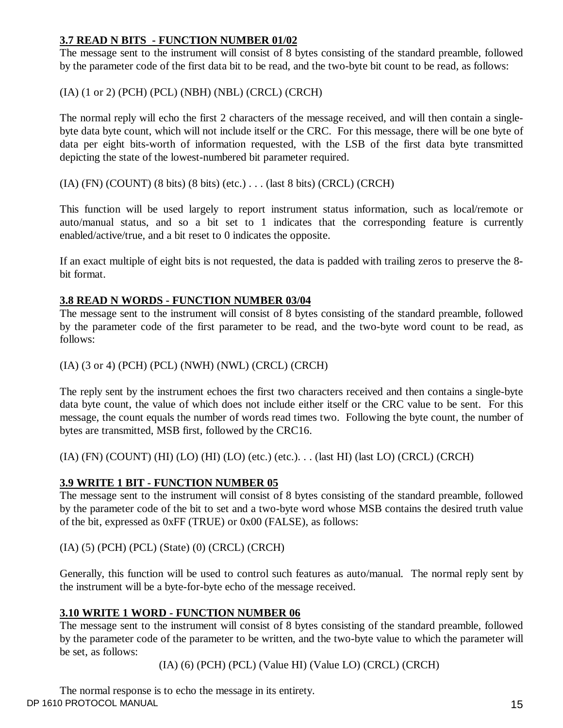# **3.7 READ N BITS - FUNCTION NUMBER 01/02**

The message sent to the instrument will consist of 8 bytes consisting of the standard preamble, followed by the parameter code of the first data bit to be read, and the two-byte bit count to be read, as follows:

# (IA) (1 or 2) (PCH) (PCL) (NBH) (NBL) (CRCL) (CRCH)

The normal reply will echo the first 2 characters of the message received, and will then contain a singlebyte data byte count, which will not include itself or the CRC. For this message, there will be one byte of data per eight bits-worth of information requested, with the LSB of the first data byte transmitted depicting the state of the lowest-numbered bit parameter required.

 $(IA)$  (FN)  $(COUNT)$  (8 bits) (8 bits) (etc.)  $\ldots$  (last 8 bits) (CRCL) (CRCH)

This function will be used largely to report instrument status information, such as local/remote or auto/manual status, and so a bit set to 1 indicates that the corresponding feature is currently enabled/active/true, and a bit reset to 0 indicates the opposite.

If an exact multiple of eight bits is not requested, the data is padded with trailing zeros to preserve the 8 bit format.

# **3.8 READ N WORDS - FUNCTION NUMBER 03/04**

The message sent to the instrument will consist of 8 bytes consisting of the standard preamble, followed by the parameter code of the first parameter to be read, and the two-byte word count to be read, as follows:

(IA) (3 or 4) (PCH) (PCL) (NWH) (NWL) (CRCL) (CRCH)

The reply sent by the instrument echoes the first two characters received and then contains a single-byte data byte count, the value of which does not include either itself or the CRC value to be sent. For this message, the count equals the number of words read times two. Following the byte count, the number of bytes are transmitted, MSB first, followed by the CRC16.

(IA) (FN) (COUNT) (HI) (LO) (HI) (LO) (etc.) (etc.). . . (last HI) (last LO) (CRCL) (CRCH)

## **3.9 WRITE 1 BIT - FUNCTION NUMBER 05**

The message sent to the instrument will consist of 8 bytes consisting of the standard preamble, followed by the parameter code of the bit to set and a two-byte word whose MSB contains the desired truth value of the bit, expressed as 0xFF (TRUE) or 0x00 (FALSE), as follows:

## (IA) (5) (PCH) (PCL) (State) (0) (CRCL) (CRCH)

Generally, this function will be used to control such features as auto/manual. The normal reply sent by the instrument will be a byte-for-byte echo of the message received.

## **3.10 WRITE 1 WORD - FUNCTION NUMBER 06**

The message sent to the instrument will consist of 8 bytes consisting of the standard preamble, followed by the parameter code of the parameter to be written, and the two-byte value to which the parameter will be set, as follows:

(IA) (6) (PCH) (PCL) (Value HI) (Value LO) (CRCL) (CRCH)

DP 1610 PROTOCOL MANUAL 2008 15 The normal response is to echo the message in its entirety.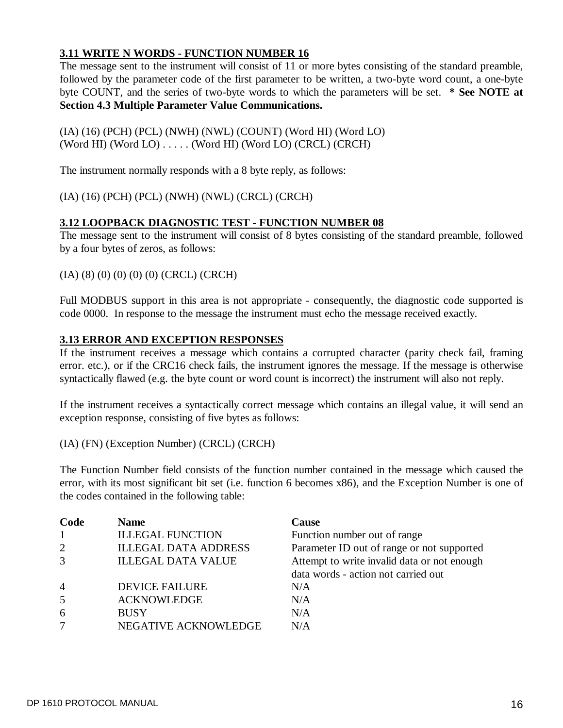# **3.11 WRITE N WORDS - FUNCTION NUMBER 16**

The message sent to the instrument will consist of 11 or more bytes consisting of the standard preamble, followed by the parameter code of the first parameter to be written, a two-byte word count, a one-byte byte COUNT, and the series of two-byte words to which the parameters will be set. **\* See NOTE at Section 4.3 Multiple Parameter Value Communications.**

(IA) (16) (PCH) (PCL) (NWH) (NWL) (COUNT) (Word HI) (Word LO) (Word HI) (Word LO) . . . . . (Word HI) (Word LO) (CRCL) (CRCH)

The instrument normally responds with a 8 byte reply, as follows:

(IA) (16) (PCH) (PCL) (NWH) (NWL) (CRCL) (CRCH)

# **3.12 LOOPBACK DIAGNOSTIC TEST - FUNCTION NUMBER 08**

The message sent to the instrument will consist of 8 bytes consisting of the standard preamble, followed by a four bytes of zeros, as follows:

(IA) (8) (0) (0) (0) (0) (CRCL) (CRCH)

Full MODBUS support in this area is not appropriate - consequently, the diagnostic code supported is code 0000. In response to the message the instrument must echo the message received exactly.

### **3.13 ERROR AND EXCEPTION RESPONSES**

If the instrument receives a message which contains a corrupted character (parity check fail, framing error. etc.), or if the CRC16 check fails, the instrument ignores the message. If the message is otherwise syntactically flawed (e.g. the byte count or word count is incorrect) the instrument will also not reply.

If the instrument receives a syntactically correct message which contains an illegal value, it will send an exception response, consisting of five bytes as follows:

(IA) (FN) (Exception Number) (CRCL) (CRCH)

The Function Number field consists of the function number contained in the message which caused the error, with its most significant bit set (i.e. function 6 becomes x86), and the Exception Number is one of the codes contained in the following table:

| Code           | <b>Name</b>                 | Cause                                       |
|----------------|-----------------------------|---------------------------------------------|
|                | <b>ILLEGAL FUNCTION</b>     | Function number out of range                |
| 2              | <b>ILLEGAL DATA ADDRESS</b> | Parameter ID out of range or not supported  |
| 3              | <b>ILLEGAL DATA VALUE</b>   | Attempt to write invalid data or not enough |
|                |                             | data words - action not carried out         |
| $\overline{4}$ | <b>DEVICE FAILURE</b>       | N/A                                         |
| 5              | <b>ACKNOWLEDGE</b>          | N/A                                         |
| 6              | <b>BUSY</b>                 | N/A                                         |
| 7              | NEGATIVE ACKNOWLEDGE        | N/A                                         |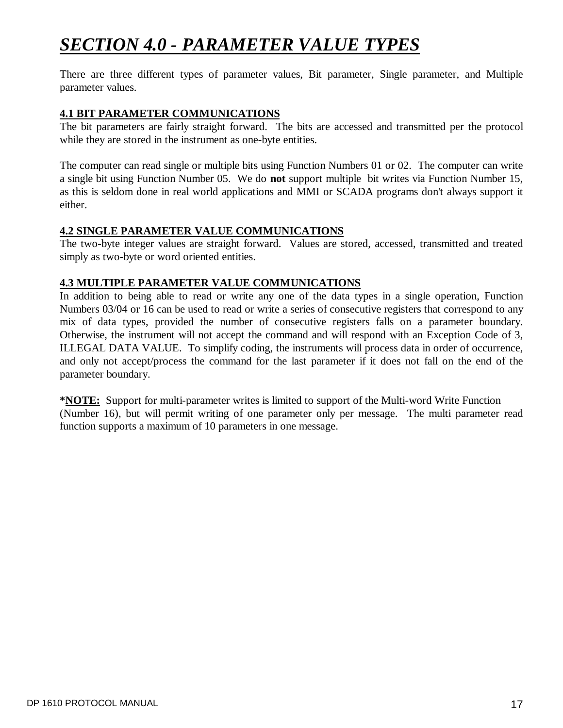# *SECTION 4.0 - PARAMETER VALUE TYPES*

There are three different types of parameter values, Bit parameter, Single parameter, and Multiple parameter values.

## **4.1 BIT PARAMETER COMMUNICATIONS**

The bit parameters are fairly straight forward. The bits are accessed and transmitted per the protocol while they are stored in the instrument as one-byte entities.

The computer can read single or multiple bits using Function Numbers 01 or 02. The computer can write a single bit using Function Number 05. We do **not** support multiple bit writes via Function Number 15, as this is seldom done in real world applications and MMI or SCADA programs don't always support it either.

## **4.2 SINGLE PARAMETER VALUE COMMUNICATIONS**

The two-byte integer values are straight forward. Values are stored, accessed, transmitted and treated simply as two-byte or word oriented entities.

## **4.3 MULTIPLE PARAMETER VALUE COMMUNICATIONS**

In addition to being able to read or write any one of the data types in a single operation, Function Numbers 03/04 or 16 can be used to read or write a series of consecutive registers that correspond to any mix of data types, provided the number of consecutive registers falls on a parameter boundary. Otherwise, the instrument will not accept the command and will respond with an Exception Code of 3, ILLEGAL DATA VALUE. To simplify coding, the instruments will process data in order of occurrence, and only not accept/process the command for the last parameter if it does not fall on the end of the parameter boundary.

**\*NOTE:** Support for multi-parameter writes is limited to support of the Multi-word Write Function (Number 16), but will permit writing of one parameter only per message. The multi parameter read function supports a maximum of 10 parameters in one message.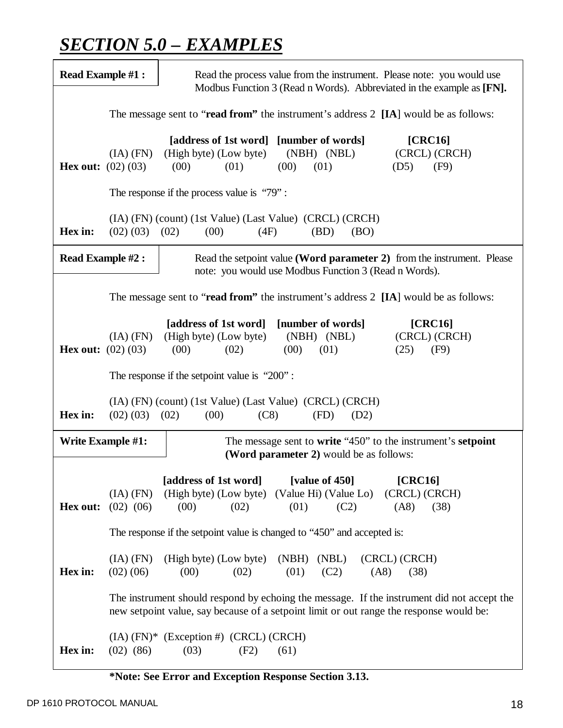# *SECTION 5.0 – EXAMPLES*

| <b>Read Example #1:</b>                                                              |                                                | Read the process value from the instrument. Please note: you would use<br>Modbus Function 3 (Read n Words). Abbreviated in the example as [FN].                                       |  |  |  |  |  |  |
|--------------------------------------------------------------------------------------|------------------------------------------------|---------------------------------------------------------------------------------------------------------------------------------------------------------------------------------------|--|--|--|--|--|--|
| The message sent to "read from" the instrument's address 2 [IA] would be as follows: |                                                |                                                                                                                                                                                       |  |  |  |  |  |  |
|                                                                                      | $(IA)$ $(FN)$<br><b>Hex out:</b> $(02) (03)$   | [address of 1st word] [number of words]<br>[CRC16]<br>(High byte) (Low byte)<br>(NBH) (NBL)<br>(CRCL) (CRCH)<br>(01)<br>(00)<br>(01)<br>(00)<br>(D5)<br>(F9)                          |  |  |  |  |  |  |
|                                                                                      | The response if the process value is " $79$ ": |                                                                                                                                                                                       |  |  |  |  |  |  |
| Hex in:                                                                              | (02) (03) (02)                                 | (IA) (FN) (count) (1st Value) (Last Value) (CRCL) (CRCH)<br>(00)<br>(4F)<br>(BD)<br>(BO)                                                                                              |  |  |  |  |  |  |
|                                                                                      | <b>Read Example #2:</b>                        | Read the setpoint value (Word parameter 2) from the instrument. Please<br>note: you would use Modbus Function 3 (Read n Words).                                                       |  |  |  |  |  |  |
| The message sent to "read from" the instrument's address 2 [IA] would be as follows: |                                                |                                                                                                                                                                                       |  |  |  |  |  |  |
| <b>Hex out:</b> $(02) (03)$                                                          | $(IA)$ $(FN)$                                  | [address of 1st word]<br>[number of words]<br>[CRC16]<br>(NBH) (NBL)<br>(CRCL) (CRCH)<br>(High byte) (Low byte)<br>(00)<br>(00)<br>(01)<br>(25)<br>(02)<br>(F9)                       |  |  |  |  |  |  |
|                                                                                      |                                                | The response if the setpoint value is " $200$ ":                                                                                                                                      |  |  |  |  |  |  |
|                                                                                      |                                                |                                                                                                                                                                                       |  |  |  |  |  |  |
| Hex in:                                                                              | (02) (03) (02)                                 | (IA) (FN) (count) (1st Value) (Last Value) (CRCL) (CRCH)<br>(00)<br>(C8)<br>(FD)<br>(D2)                                                                                              |  |  |  |  |  |  |
|                                                                                      | <b>Write Example #1:</b>                       | The message sent to write "450" to the instrument's setpoint<br>(Word parameter 2) would be as follows:                                                                               |  |  |  |  |  |  |
| Hex out:                                                                             | $(IA)$ $(FN)$<br>$(02)$ $(06)$                 | [address of 1st word]<br>[value of 450]<br>[CRC16]<br>(High byte) (Low byte) (Value Hi) (Value Lo)<br>(CRCL) (CRCH)<br>(01)<br>(AB)<br>(00)<br>(02)<br>(C2)<br>(38)                   |  |  |  |  |  |  |
|                                                                                      |                                                | The response if the setpoint value is changed to "450" and accepted is:                                                                                                               |  |  |  |  |  |  |
| Hex in:                                                                              | $(IA)$ $(FN)$<br>$(02)$ $(06)$                 | (High byte) (Low byte)<br>(NBH)<br>(NBL)<br>(CRCL) (CRCH)<br>(00)<br>(01)<br>(02)<br>(C2)<br>(AB)<br>(38)                                                                             |  |  |  |  |  |  |
|                                                                                      |                                                | The instrument should respond by echoing the message. If the instrument did not accept the<br>new setpoint value, say because of a setpoint limit or out range the response would be: |  |  |  |  |  |  |

**\*Note: See Error and Exception Response Section 3.13.**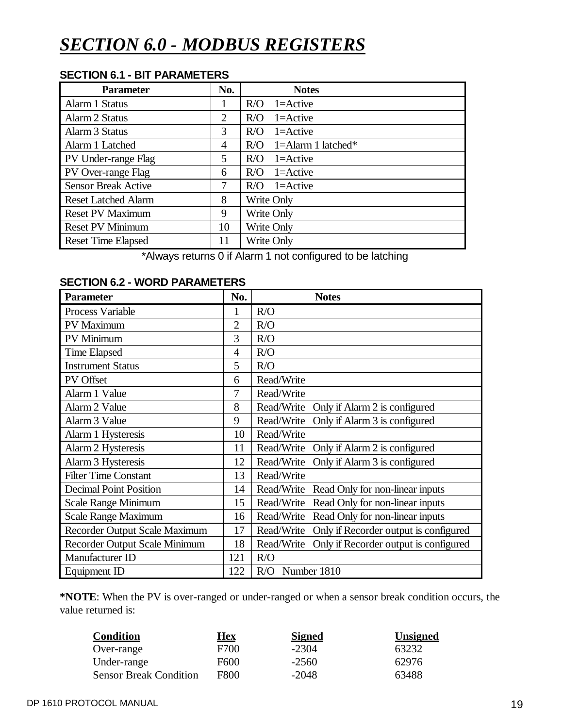# *SECTION 6.0 - MODBUS REGISTERS*

| <b>SECTION 6.1 - BIT PARAMETERS</b> |  |  |
|-------------------------------------|--|--|
|-------------------------------------|--|--|

| <b>Parameter</b>           | No. | <b>Notes</b>              |  |
|----------------------------|-----|---------------------------|--|
| Alarm 1 Status             | ш   | $1 =$ Active<br>R/O       |  |
| Alarm 2 Status             | 2   | $1 =$ Active<br>R/O       |  |
| Alarm 3 Status             | 3   | R/O<br>$1 =$ Active       |  |
| Alarm 1 Latched            | 4   | 1=Alarm 1 latched*<br>R/O |  |
| PV Under-range Flag        | 5   | R/O<br>$1 =$ Active       |  |
| PV Over-range Flag         | 6   | $1 =$ Active<br>R/O       |  |
| <b>Sensor Break Active</b> | 7   | $1 =$ Active<br>R/O       |  |
| <b>Reset Latched Alarm</b> | 8   | Write Only                |  |
| <b>Reset PV Maximum</b>    | 9   | Write Only                |  |
| <b>Reset PV Minimum</b>    | 10  | Write Only                |  |
| <b>Reset Time Elapsed</b>  |     | Write Only                |  |

\*Always returns 0 if Alarm 1 not configured to be latching

# **SECTION 6.2 - WORD PARAMETERS**

| <b>Parameter</b>              | No.            | <b>Notes</b>                                     |
|-------------------------------|----------------|--------------------------------------------------|
| Process Variable              | 1              | R/O                                              |
| PV Maximum                    | 2              | R/O                                              |
| PV Minimum                    | 3              | R/O                                              |
| <b>Time Elapsed</b>           | $\overline{4}$ | R/O                                              |
| <b>Instrument Status</b>      | 5              | R/O                                              |
| PV Offset                     | 6              | Read/Write                                       |
| Alarm 1 Value                 | 7              | Read/Write                                       |
| Alarm 2 Value                 | 8              | Read/Write<br>Only if Alarm 2 is configured      |
| Alarm 3 Value                 | 9              | Only if Alarm 3 is configured<br>Read/Write      |
| Alarm 1 Hysteresis            | 10             | Read/Write                                       |
| Alarm 2 Hysteresis            | 11             | Read/Write<br>Only if Alarm 2 is configured      |
| Alarm 3 Hysteresis            | 12             | Only if Alarm 3 is configured<br>Read/Write      |
| <b>Filter Time Constant</b>   | 13             | Read/Write                                       |
| <b>Decimal Point Position</b> | 14             | Read/Write Read Only for non-linear inputs       |
| Scale Range Minimum           | 15             | Read/Write Read Only for non-linear inputs       |
| Scale Range Maximum           | 16             | Read/Write Read Only for non-linear inputs       |
| Recorder Output Scale Maximum | 17             | Read/Write Only if Recorder output is configured |
| Recorder Output Scale Minimum | 18             | Read/Write Only if Recorder output is configured |
| Manufacturer ID               | 121            | R/O                                              |
| Equipment ID                  | 122            | R/O Number 1810                                  |

**\*NOTE**: When the PV is over-ranged or under-ranged or when a sensor break condition occurs, the value returned is:

| <b>Condition</b>              | Hex         | <b>Signed</b> | <b>Unsigned</b> |
|-------------------------------|-------------|---------------|-----------------|
| Over-range                    | F700        | -2304         | 63232           |
| Under-range                   | F600        | $-2560$       | 62976           |
| <b>Sensor Break Condition</b> | <b>F800</b> | $-2048$       | 63488           |